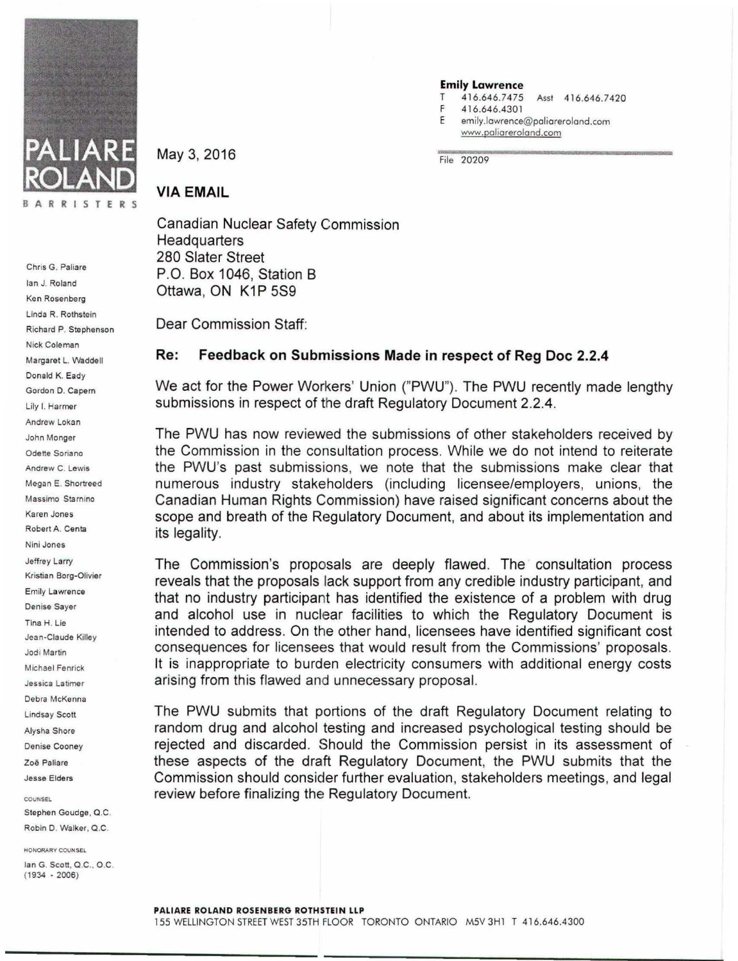

Chris G. Paliare Ian J. Roland Ken Rosenberg Linda R. Rothstein Richard P. Stephenson Nick Coleman Margaret L. Waddell Donald K. Eady Gordon D. Capem Lily I. Harmer Andrew Lokan John Monger Odette Soriano Andrew C. Lewis Megan E. Shortreed Massimo Starnino Karen Jones Robert A. Centa Nini Jones Jeffrey Larry Kristian Borg-Olivier Emily Lawrence Denise Sayer Tina H. Lie Jean-Claude Killey Jodi Martin Michael Fenrick Jessica Latimer Debra McKenna Lindsay Scott Alysha Shore Denise Cooney Zoe Paliare Jesse Elders

**COUNSEL** Stephen Goudge, Q.C.

Robin D. Walker, Q.C.

HONORARY COUNSEL

Ian G. Scott, Q.C .. O.C (1934 - 2006)

May 3, 2016 **File 20209** 

## **Emily Lawrence**<br>T 416.646.7475

- Asst 416.646.7420
- F 4 16.646.430 l
- E emily.lawrence@paliareroland.com www.poliorerolond.com

T

## VIA EMAIL

Canadian Nuclear Safety Commission **Headquarters** 280 Slater Street P.O. Box 1046, Station B Ottawa, ON K1P 5S9

Dear Commission Staff:

## Re: Feedback on Submissions Made in respect of Reg Doc 2.2.4

We act for the Power Workers' Union ("PWU"). The PWU recently made lengthy submissions in respect of the draft Regulatory Document 2.2.4.

The PWU has now reviewed the submissions of other stakeholders received by the Commission in the consultation process. While we do not intend to reiterate the PWU's past submissions, we note that the submissions make clear that numerous industry stakeholders (including licensee/employers, unions, the Canadian Human Rights Commission) have raised significant concerns about the scope and breath of the Regulatory Document, and about its implementation and its legality.

The Commission's proposals are deeply flawed. The consultation process reveals that the proposals lack support from any credible industry participant, and that no industry participant has identified the existence of a problem with drug and alcohol use in nuclear facilities to which the Regulatory Document is intended to address. On the other hand, licensees have identified significant cost consequences for licensees that would result from the Commissions' proposals. It is inappropriate to burden electricity consumers with additional energy costs arising from this flawed and unnecessary proposal.

The PWU submits that portions of the draft Regulatory Document relating to random drug and alcohol testing and increased psychological testing should be rejected and discarded. Should the Commission persist in its assessment of these aspects of the draft Regulatory Document, the PWU submits that the Commission should consider further evaluation, stakeholders meetings, and legal review before finalizing the Regulatory Document.